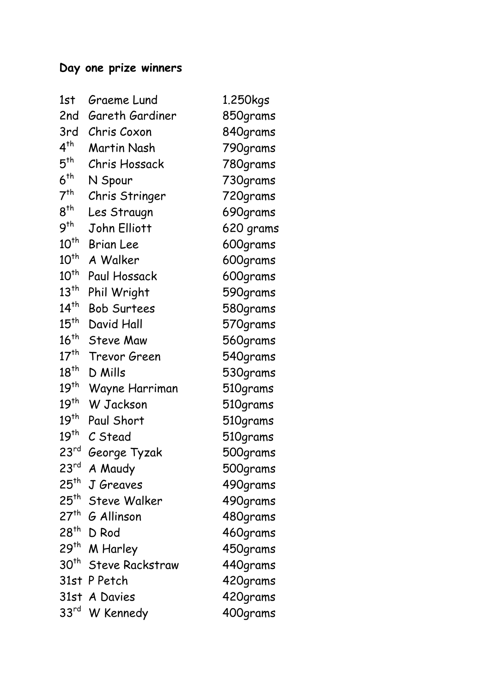## **Day one prize winners**

| Graeme Lund            | 1.250kgs                                                                              |
|------------------------|---------------------------------------------------------------------------------------|
| Gareth Gardiner        | 850grams                                                                              |
| Chris Coxon            | 840grams                                                                              |
| <b>Martin Nash</b>     | 790grams                                                                              |
| Chris Hossack          | 780grams                                                                              |
| N Spour                | 730grams                                                                              |
| Chris Stringer         | 720grams                                                                              |
| Les Straugn            | 690grams                                                                              |
| John Elliott           | 620 grams                                                                             |
| <b>Brian Lee</b>       | 600grams                                                                              |
| A Walker               | 600grams                                                                              |
| Paul Hossack           | 600grams                                                                              |
| Phil Wright            | 590grams                                                                              |
| <b>Bob Surtees</b>     | 580grams                                                                              |
| David Hall             | 570grams                                                                              |
| <b>Steve Maw</b>       | 560grams                                                                              |
| Trevor Green           | 540grams                                                                              |
| D Mills                | 530grams                                                                              |
| Wayne Harriman         | 510grams                                                                              |
| <b>W</b> Jackson       | 510grams                                                                              |
| Paul Short             | 510grams                                                                              |
| C Stead                | 510grams                                                                              |
| George Tyzak           | 500grams                                                                              |
| A Maudy                | 500grams                                                                              |
| J Greaves              | 490grams                                                                              |
|                        | 490grams                                                                              |
|                        | 480grams                                                                              |
| D Rod                  | 460grams                                                                              |
| M Harley               | 450grams                                                                              |
| <b>Steve Rackstraw</b> | 440grams                                                                              |
| P Petch                | 420grams                                                                              |
|                        | 420grams                                                                              |
| W Kennedy              | 400grams                                                                              |
|                        | 25 <sup>th</sup> Steve Walker<br>27 <sup>th</sup> G Allinson<br>31st<br>31st A Davies |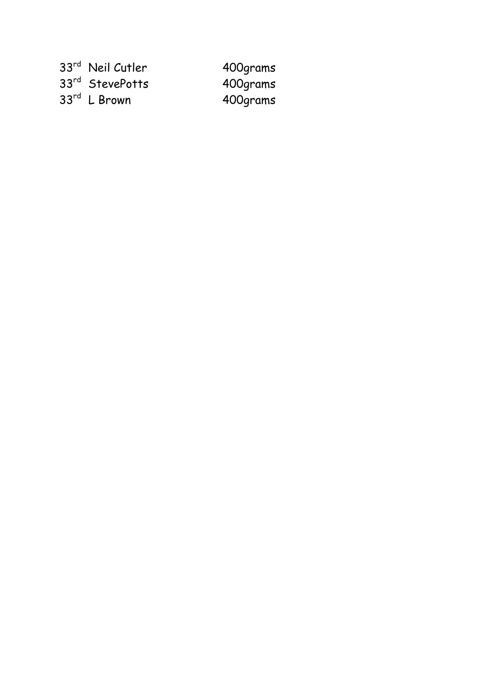| 33rd Neil Cutler  | 400grams |
|-------------------|----------|
| 33rd StevePotts   | 400grams |
| $33^{rd}$ L Brown | 400grams |